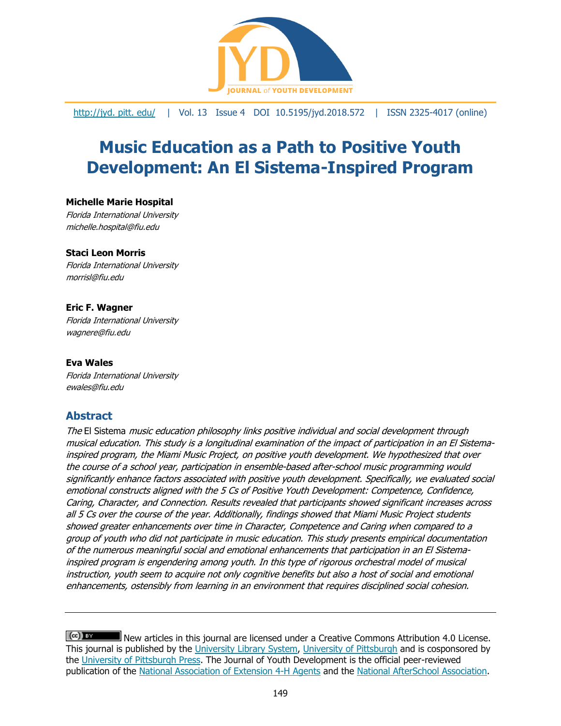

[http://jyd. pitt. edu/](http://jyd.pitt.edu/) | Vol. 13 Issue 4 DOI 10.5195/jyd.2018.572 | ISSN 2325-4017 (online)

# **Music Education as a Path to Positive Youth Development: An El Sistema-Inspired Program**

#### **Michelle Marie Hospital**

Florida International University michelle.hospital@fiu.edu

#### **Staci Leon Morris**

Florida International University morrisl@fiu.edu

#### **Eric F. Wagner**

Florida International University wagnere@fiu.edu

#### **Eva Wales**

Florida International University ewales@fiu.edu

## **Abstract**

The El Sistema music education philosophy links positive individual and social development through musical education. This study is a longitudinal examination of the impact of participation in an El Sistemainspired program, the Miami Music Project, on positive youth development. We hypothesized that over the course of a school year, participation in ensemble-based after-school music programming would significantly enhance factors associated with positive youth development. Specifically, we evaluated social emotional constructs aligned with the 5 Cs of Positive Youth Development: Competence, Confidence, Caring, Character, and Connection. Results revealed that participants showed significant increases across all 5 Cs over the course of the year. Additionally, findings showed that Miami Music Project students showed greater enhancements over time in Character, Competence and Caring when compared to a group of youth who did not participate in music education. This study presents empirical documentation of the numerous meaningful social and emotional enhancements that participation in an El Sistemainspired program is engendering among youth. In this type of rigorous orchestral model of musical instruction, youth seem to acquire not only cognitive benefits but also a host of social and emotional enhancements, ostensibly from learning in an environment that requires disciplined social cohesion.

 $(cc)$  BY New articles in this journal are licensed under a Creative Commons Attribution 4.0 License. This journal is published by the [University Library System,](http://www.library.pitt.edu/) [University of Pittsburgh](http://www.pitt.edu/) and is cosponsored by the [University of Pittsburgh Press.](http://www.upress.pitt.edu/upressIndex.aspx) The Journal of Youth Development is the official peer-reviewed publication of the [National Association of Extension 4-H Agents](http://www.nae4ha.com/) and the [National AfterSchool Association.](http://naaweb.org/)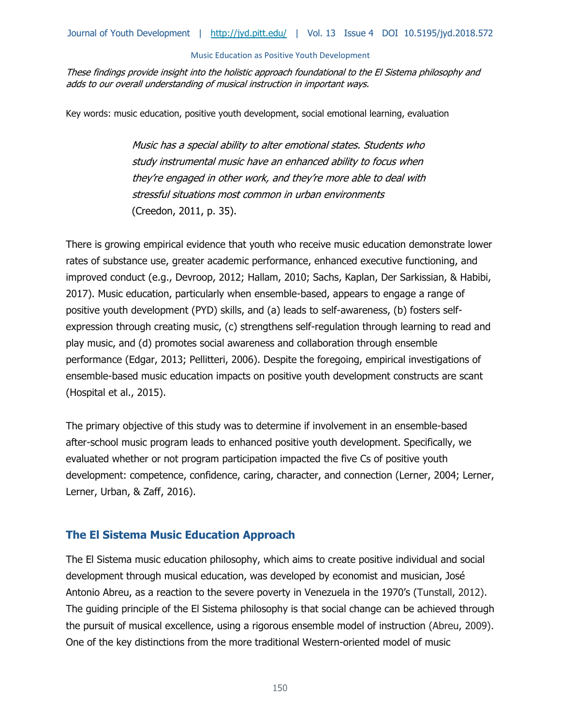These findings provide insight into the holistic approach foundational to the El Sistema philosophy and adds to our overall understanding of musical instruction in important ways.

Key words: music education, positive youth development, social emotional learning, evaluation

Music has a special ability to alter emotional states. Students who study instrumental music have an enhanced ability to focus when they're engaged in other work, and they're more able to deal with stressful situations most common in urban environments (Creedon, 2011, p. 35).

There is growing empirical evidence that youth who receive music education demonstrate lower rates of substance use, greater academic performance, enhanced executive functioning, and improved conduct (e.g., Devroop, 2012; Hallam, 2010; Sachs, Kaplan, Der Sarkissian, & Habibi, 2017). Music education, particularly when ensemble-based, appears to engage a range of positive youth development (PYD) skills, and (a) leads to self-awareness, (b) fosters selfexpression through creating music, (c) strengthens self-regulation through learning to read and play music, and (d) promotes social awareness and collaboration through ensemble performance (Edgar, 2013; Pellitteri, 2006). Despite the foregoing, empirical investigations of ensemble-based music education impacts on positive youth development constructs are scant (Hospital et al., 2015).

The primary objective of this study was to determine if involvement in an ensemble-based after-school music program leads to enhanced positive youth development. Specifically, we evaluated whether or not program participation impacted the five Cs of positive youth development: competence, confidence, caring, character, and connection (Lerner, 2004; Lerner, Lerner, Urban, & Zaff, 2016).

# **The El Sistema Music Education Approach**

The El Sistema music education philosophy, which aims to create positive individual and social development through musical education, was developed by economist and musician, José Antonio Abreu, as a reaction to the severe poverty in Venezuela in the 1970's (Tunstall, 2012). The guiding principle of the El Sistema philosophy is that social change can be achieved through the pursuit of musical excellence, using a rigorous ensemble model of instruction (Abreu, 2009). One of the key distinctions from the more traditional Western-oriented model of music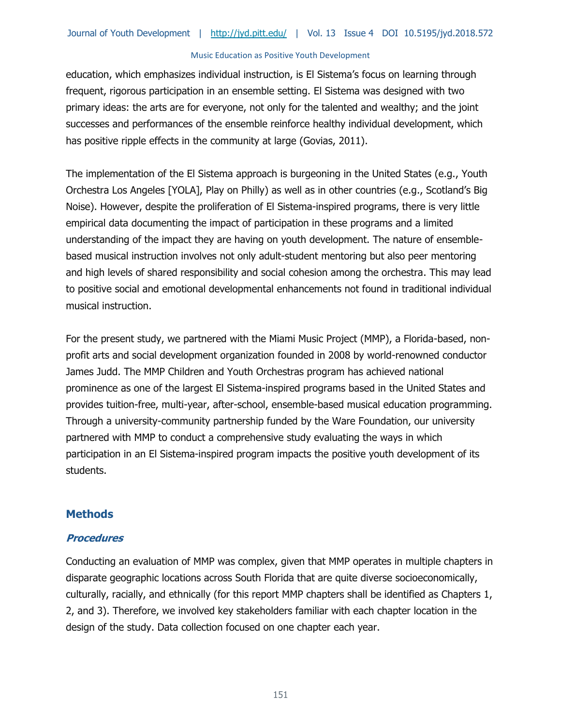education, which emphasizes individual instruction, is El Sistema's focus on learning through frequent, rigorous participation in an ensemble setting. El Sistema was designed with two primary ideas: the arts are for everyone, not only for the talented and wealthy; and the joint successes and performances of the ensemble reinforce healthy individual development, which has positive ripple effects in the community at large (Govias, 2011).

The implementation of the El Sistema approach is burgeoning in the United States (e.g., Youth Orchestra Los Angeles [YOLA], Play on Philly) as well as in other countries (e.g., Scotland's Big Noise). However, despite the proliferation of El Sistema-inspired programs, there is very little empirical data documenting the impact of participation in these programs and a limited understanding of the impact they are having on youth development. The nature of ensemblebased musical instruction involves not only adult-student mentoring but also peer mentoring and high levels of shared responsibility and social cohesion among the orchestra. This may lead to positive social and emotional developmental enhancements not found in traditional individual musical instruction.

For the present study, we partnered with the Miami Music Project (MMP), a Florida-based, nonprofit arts and social development organization founded in 2008 by world-renowned conductor James Judd. The MMP Children and Youth Orchestras program has achieved national prominence as one of the largest El Sistema-inspired programs based in the United States and provides tuition-free, multi-year, after-school, ensemble-based musical education programming. Through a university-community partnership funded by the Ware Foundation, our university partnered with MMP to conduct a comprehensive study evaluating the ways in which participation in an El Sistema-inspired program impacts the positive youth development of its students.

# **Methods**

## **Procedures**

Conducting an evaluation of MMP was complex, given that MMP operates in multiple chapters in disparate geographic locations across South Florida that are quite diverse socioeconomically, culturally, racially, and ethnically (for this report MMP chapters shall be identified as Chapters 1, 2, and 3). Therefore, we involved key stakeholders familiar with each chapter location in the design of the study. Data collection focused on one chapter each year.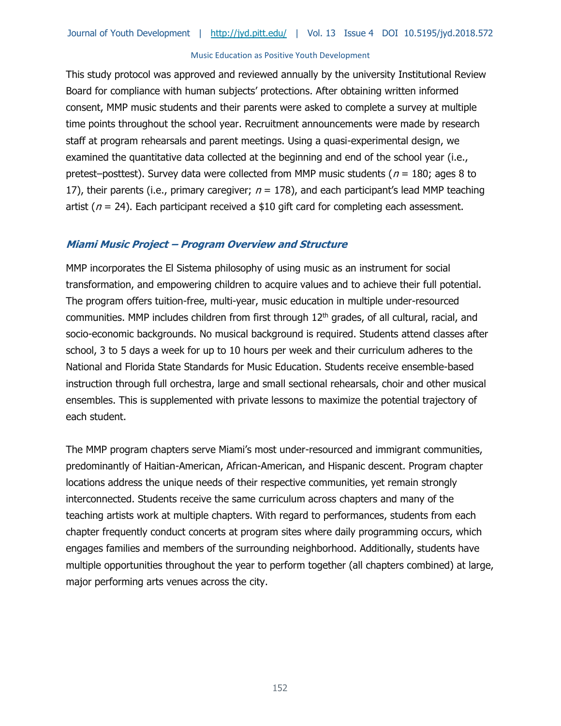This study protocol was approved and reviewed annually by the university Institutional Review Board for compliance with human subjects' protections. After obtaining written informed consent, MMP music students and their parents were asked to complete a survey at multiple time points throughout the school year. Recruitment announcements were made by research staff at program rehearsals and parent meetings. Using a quasi-experimental design, we examined the quantitative data collected at the beginning and end of the school year (i.e., pretest–posttest). Survey data were collected from MMP music students ( $n = 180$ ; ages 8 to 17), their parents (i.e., primary caregiver;  $n = 178$ ), and each participant's lead MMP teaching artist ( $n = 24$ ). Each participant received a \$10 gift card for completing each assessment.

## **Miami Music Project – Program Overview and Structure**

MMP incorporates the El Sistema philosophy of using music as an instrument for social transformation, and empowering children to acquire values and to achieve their full potential. The program offers tuition-free, multi-year, music education in multiple under-resourced communities. MMP includes children from first through 12<sup>th</sup> grades, of all cultural, racial, and socio-economic backgrounds. No musical background is required. Students attend classes after school, 3 to 5 days a week for up to 10 hours per week and their curriculum adheres to the National and Florida State Standards for Music Education. Students receive ensemble-based instruction through full orchestra, large and small sectional rehearsals, choir and other musical ensembles. This is supplemented with private lessons to maximize the potential trajectory of each student.

The MMP program chapters serve Miami's most under-resourced and immigrant communities, predominantly of Haitian-American, African-American, and Hispanic descent. Program chapter locations address the unique needs of their respective communities, yet remain strongly interconnected. Students receive the same curriculum across chapters and many of the teaching artists work at multiple chapters. With regard to performances, students from each chapter frequently conduct concerts at program sites where daily programming occurs, which engages families and members of the surrounding neighborhood. Additionally, students have multiple opportunities throughout the year to perform together (all chapters combined) at large, major performing arts venues across the city.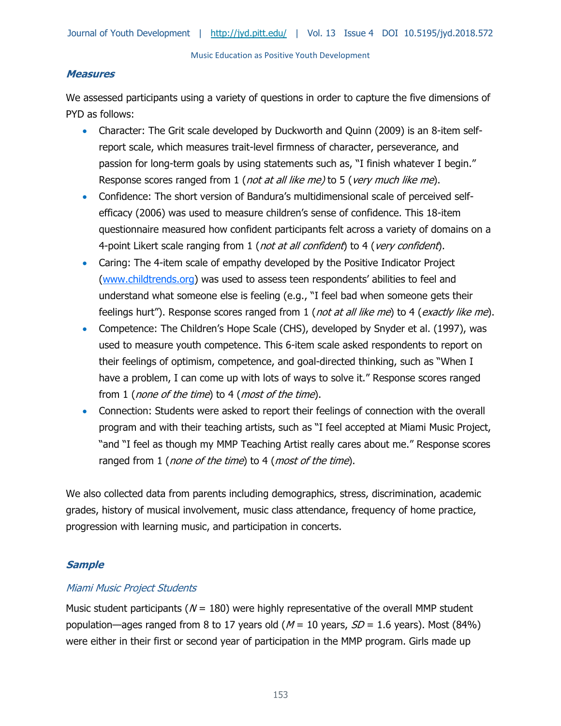#### **Measures**

We assessed participants using a variety of questions in order to capture the five dimensions of PYD as follows:

- Character: The Grit scale developed by Duckworth and Quinn (2009) is an 8-item selfreport scale, which measures trait-level firmness of character, perseverance, and passion for long-term goals by using statements such as, "I finish whatever I begin." Response scores ranged from 1 (not at all like me) to 5 (very much like me).
- Confidence: The short version of Bandura's multidimensional scale of perceived selfefficacy (2006) was used to measure children's sense of confidence. This 18-item questionnaire measured how confident participants felt across a variety of domains on a 4-point Likert scale ranging from 1 (not at all confident) to 4 (very confident).
- Caring: The 4-item scale of empathy developed by the [Positive Indicator Project](https://www.childtrends.org/research/research-by-topic/positive-indicators-project/empathy/) [\(www.childtrends.org\)](http://www.childtrends.org/) was used to assess teen respondents' abilities to feel and understand what someone else is feeling (e.g., "I feel bad when someone gets their feelings hurt"). Response scores ranged from 1 (not at all like me) to 4 (exactly like me).
- Competence: The Children's Hope Scale (CHS), developed by Snyder et al. (1997), was used to measure youth competence. This 6-item scale asked respondents to report on their feelings of optimism, competence, and goal-directed thinking, such as "When I have a problem, I can come up with lots of ways to solve it." Response scores ranged from 1 (*none of the time*) to 4 (*most of the time*).
- Connection: Students were asked to report their feelings of connection with the overall program and with their teaching artists, such as "I feel accepted at Miami Music Project, "and "I feel as though my MMP Teaching Artist really cares about me." Response scores ranged from 1 (none of the time) to 4 (most of the time).

We also collected data from parents including demographics, stress, discrimination, academic grades, history of musical involvement, music class attendance, frequency of home practice, progression with learning music, and participation in concerts.

# **Sample**

## Miami Music Project Students

Music student participants ( $N = 180$ ) were highly representative of the overall MMP student population—ages ranged from 8 to 17 years old ( $M = 10$  years,  $SD = 1.6$  years). Most (84%) were either in their first or second year of participation in the MMP program. Girls made up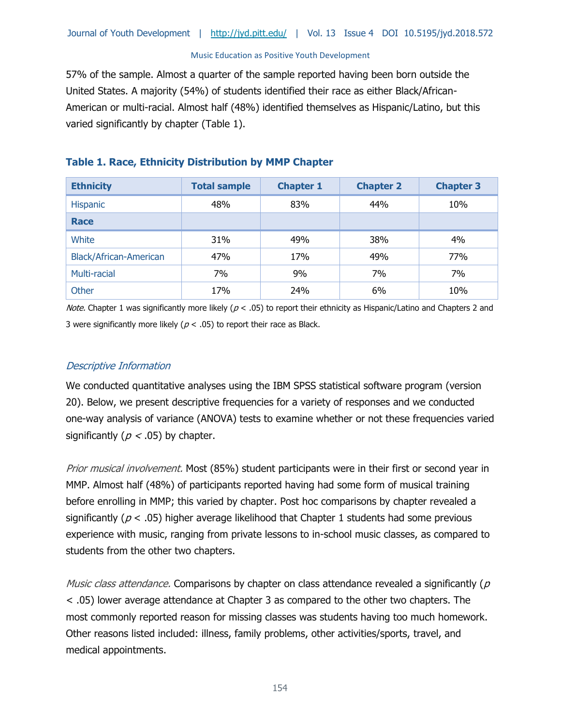57% of the sample. Almost a quarter of the sample reported having been born outside the United States. A majority (54%) of students identified their race as either Black/African-American or multi-racial. Almost half (48%) identified themselves as Hispanic/Latino, but this varied significantly by chapter (Table 1).

# **Table 1. Race, Ethnicity Distribution by MMP Chapter**

| <b>Ethnicity</b>              | <b>Total sample</b> | <b>Chapter 1</b> | <b>Chapter 2</b> | <b>Chapter 3</b> |
|-------------------------------|---------------------|------------------|------------------|------------------|
| <b>Hispanic</b>               | 48%                 | 83%              | 44%              | 10%              |
| <b>Race</b>                   |                     |                  |                  |                  |
| White                         | 31%                 | 49%              | 38%              | 4%               |
| <b>Black/African-American</b> | 47%                 | 17%              | 49%              | 77%              |
| Multi-racial                  | 7%                  | 9%               | 7%               | 7%               |
| Other                         | 17%                 | 24%              | 6%               | 10%              |

*Note.* Chapter 1 was significantly more likely ( $p < .05$ ) to report their ethnicity as Hispanic/Latino and Chapters 2 and 3 were significantly more likely ( $p < .05$ ) to report their race as Black.

# Descriptive Information

We conducted quantitative analyses using the IBM SPSS statistical software program (version 20). Below, we present descriptive frequencies for a variety of responses and we conducted one-way analysis of variance (ANOVA) tests to examine whether or not these frequencies varied significantly ( $p < .05$ ) by chapter.

Prior musical involvement. Most (85%) student participants were in their first or second year in MMP. Almost half (48%) of participants reported having had some form of musical training before enrolling in MMP; this varied by chapter. Post hoc comparisons by chapter revealed a significantly ( $p < .05$ ) higher average likelihood that Chapter 1 students had some previous experience with music, ranging from private lessons to in-school music classes, as compared to students from the other two chapters.

*Music class attendance.* Comparisons by chapter on class attendance revealed a significantly ( $p$ ) < .05) lower average attendance at Chapter 3 as compared to the other two chapters. The most commonly reported reason for missing classes was students having too much homework. Other reasons listed included: illness, family problems, other activities/sports, travel, and medical appointments.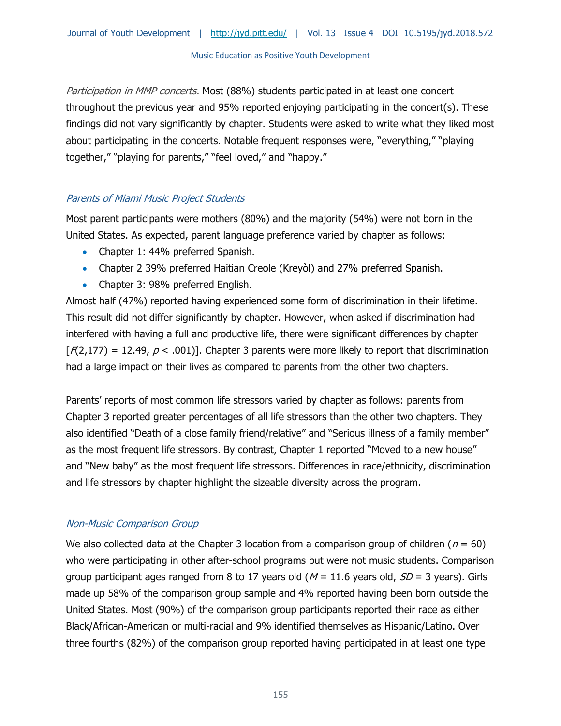Participation in MMP concerts. Most (88%) students participated in at least one concert throughout the previous year and 95% reported enjoying participating in the concert(s). These findings did not vary significantly by chapter. Students were asked to write what they liked most about participating in the concerts. Notable frequent responses were, "everything," "playing together," "playing for parents," "feel loved," and "happy."

# Parents of Miami Music Project Students

Most parent participants were mothers (80%) and the majority (54%) were not born in the United States. As expected, parent language preference varied by chapter as follows:

- Chapter 1: 44% preferred Spanish.
- Chapter 2 39% preferred Haitian Creole (Kreyòl) and 27% preferred Spanish.
- Chapter 3: 98% preferred English.

Almost half (47%) reported having experienced some form of discrimination in their lifetime. This result did not differ significantly by chapter. However, when asked if discrimination had interfered with having a full and productive life, there were significant differences by chapter  $F(4,177) = 12.49$ ,  $p < .001$ ]. Chapter 3 parents were more likely to report that discrimination had a large impact on their lives as compared to parents from the other two chapters.

Parents' reports of most common life stressors varied by chapter as follows: parents from Chapter 3 reported greater percentages of all life stressors than the other two chapters. They also identified "Death of a close family friend/relative" and "Serious illness of a family member" as the most frequent life stressors. By contrast, Chapter 1 reported "Moved to a new house" and "New baby" as the most frequent life stressors. Differences in race/ethnicity, discrimination and life stressors by chapter highlight the sizeable diversity across the program.

# Non-Music Comparison Group

We also collected data at the Chapter 3 location from a comparison group of children ( $n = 60$ ) who were participating in other after-school programs but were not music students. Comparison group participant ages ranged from 8 to 17 years old ( $M = 11.6$  years old,  $SD = 3$  years). Girls made up 58% of the comparison group sample and 4% reported having been born outside the United States. Most (90%) of the comparison group participants reported their race as either Black/African-American or multi-racial and 9% identified themselves as Hispanic/Latino. Over three fourths (82%) of the comparison group reported having participated in at least one type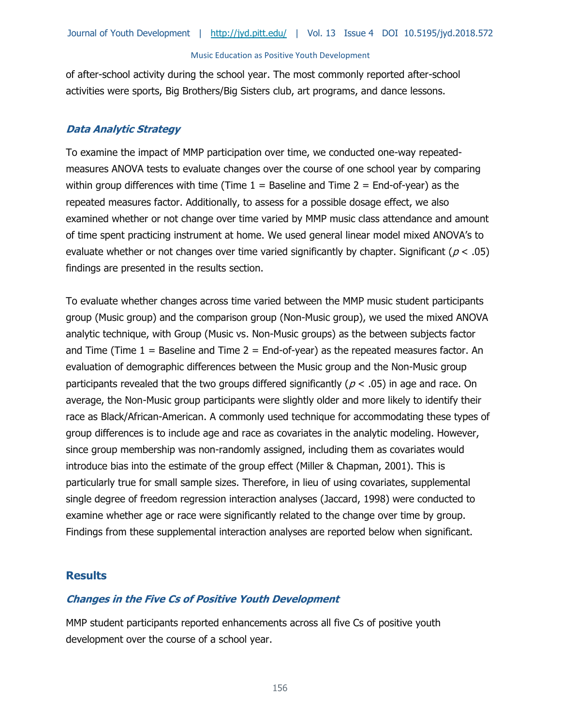of after-school activity during the school year. The most commonly reported after-school activities were sports, Big Brothers/Big Sisters club, art programs, and dance lessons.

#### **Data Analytic Strategy**

To examine the impact of MMP participation over time, we conducted one-way repeatedmeasures ANOVA tests to evaluate changes over the course of one school year by comparing within group differences with time (Time  $1 =$  Baseline and Time  $2 =$  End-of-year) as the repeated measures factor. Additionally, to assess for a possible dosage effect, we also examined whether or not change over time varied by MMP music class attendance and amount of time spent practicing instrument at home. We used general linear model mixed ANOVA's to evaluate whether or not changes over time varied significantly by chapter. Significant ( $p < .05$ ) findings are presented in the results section.

To evaluate whether changes across time varied between the MMP music student participants group (Music group) and the comparison group (Non-Music group), we used the mixed ANOVA analytic technique, with Group (Music vs. Non-Music groups) as the between subjects factor and Time (Time  $1 =$  Baseline and Time  $2 =$  End-of-year) as the repeated measures factor. An evaluation of demographic differences between the Music group and the Non-Music group participants revealed that the two groups differed significantly ( $p < .05$ ) in age and race. On average, the Non-Music group participants were slightly older and more likely to identify their race as Black/African-American. A commonly used technique for accommodating these types of group differences is to include age and race as covariates in the analytic modeling. However, since group membership was non-randomly assigned, including them as covariates would introduce bias into the estimate of the group effect (Miller & Chapman, 2001). This is particularly true for small sample sizes. Therefore, in lieu of using covariates, supplemental single degree of freedom regression interaction analyses (Jaccard, 1998) were conducted to examine whether age or race were significantly related to the change over time by group. Findings from these supplemental interaction analyses are reported below when significant.

## **Results**

## **Changes in the Five Cs of Positive Youth Development**

MMP student participants reported enhancements across all five Cs of positive youth development over the course of a school year.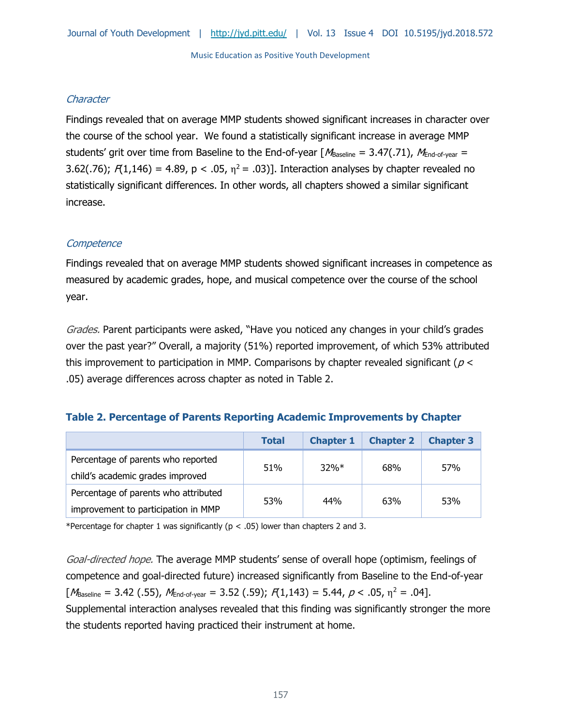## **Character**

Findings revealed that on average MMP students showed significant increases in character over the course of the school year. We found a statistically significant increase in average MMP students' grit over time from Baseline to the End-of-year  $M_{\text{Baseline}} = 3.47(.71)$ ,  $M_{\text{End-of-year}} =$ 3.62(.76);  $F(1,146) = 4.89$ , p < .05,  $\eta^2 = .03$ ]. Interaction analyses by chapter revealed no statistically significant differences. In other words, all chapters showed a similar significant increase.

## **Competence**

Findings revealed that on average MMP students showed significant increases in competence as measured by academic grades, hope, and musical competence over the course of the school year.

Grades. Parent participants were asked, "Have you noticed any changes in your child's grades over the past year?" Overall, a majority (51%) reported improvement, of which 53% attributed this improvement to participation in MMP. Comparisons by chapter revealed significant ( $p <$ .05) average differences across chapter as noted in Table 2.

## **Table 2. Percentage of Parents Reporting Academic Improvements by Chapter**

|                                                                             | <b>Total</b> | <b>Chapter 1</b> | <b>Chapter 2</b> | <b>Chapter 3</b> |
|-----------------------------------------------------------------------------|--------------|------------------|------------------|------------------|
| Percentage of parents who reported<br>child's academic grades improved      | 51%          | 32%              | 68%              | 57%              |
| Percentage of parents who attributed<br>improvement to participation in MMP | 53%          | 44%              | 63%              | 53%              |

\*Percentage for chapter 1 was significantly ( $p < .05$ ) lower than chapters 2 and 3.

Goal-directed hope. The average MMP students' sense of overall hope (optimism, feelings of competence and goal-directed future) increased significantly from Baseline to the End-of-year  $[M_{\text{Baseline}} = 3.42 \ (0.55), M_{\text{End-of-year}} = 3.52 \ (0.59); R(1,143) = 5.44, p < 0.05, \eta^2 = 0.04$ . Supplemental interaction analyses revealed that this finding was significantly stronger the more the students reported having practiced their instrument at home.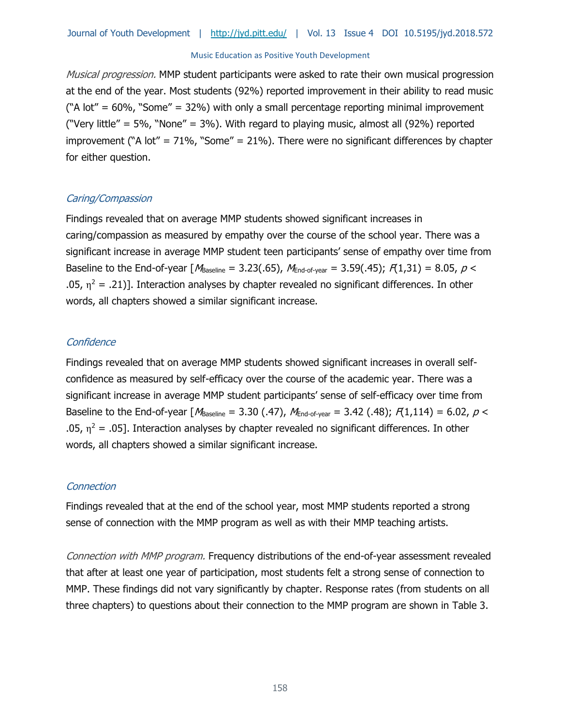Musical progression. MMP student participants were asked to rate their own musical progression at the end of the year. Most students (92%) reported improvement in their ability to read music ("A lot" =  $60\%$ , "Some" =  $32\%$ ) with only a small percentage reporting minimal improvement ("Very little" = 5%, "None" = 3%). With regard to playing music, almost all (92%) reported improvement ("A lot" =  $71\%$ , "Some" =  $21\%$ ). There were no significant differences by chapter for either question.

## Caring/Compassion

Findings revealed that on average MMP students showed significant increases in caring/compassion as measured by empathy over the course of the school year. There was a significant increase in average MMP student teen participants' sense of empathy over time from Baseline to the End-of-year  $M_{\text{Baseline}} = 3.23(.65)$ ,  $M_{\text{End-of-year}} = 3.59(.45)$ ;  $F(1,31) = 8.05$ ,  $p <$ .05,  $\eta^2$  = .21)]. Interaction analyses by chapter revealed no significant differences. In other words, all chapters showed a similar significant increase.

## **Confidence**

Findings revealed that on average MMP students showed significant increases in overall selfconfidence as measured by self-efficacy over the course of the academic year. There was a significant increase in average MMP student participants' sense of self-efficacy over time from Baseline to the End-of-year  $M_{\text{Baseline}} = 3.30$  (.47),  $M_{\text{End-of-year}} = 3.42$  (.48);  $F(1,114) = 6.02$ ,  $p <$ .05,  $\eta^2$  = .05]. Interaction analyses by chapter revealed no significant differences. In other words, all chapters showed a similar significant increase.

## **Connection**

Findings revealed that at the end of the school year, most MMP students reported a strong sense of connection with the MMP program as well as with their MMP teaching artists.

Connection with MMP program. Frequency distributions of the end-of-year assessment revealed that after at least one year of participation, most students felt a strong sense of connection to MMP. These findings did not vary significantly by chapter. Response rates (from students on all three chapters) to questions about their connection to the MMP program are shown in Table 3.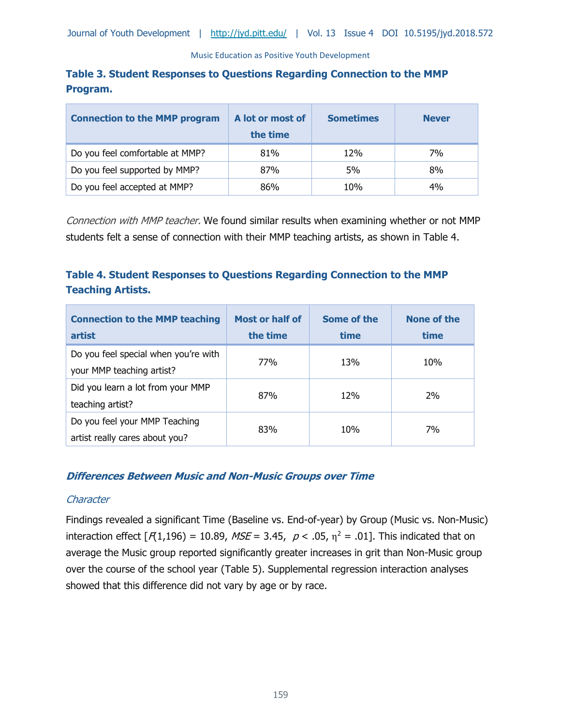# **Table 3. Student Responses to Questions Regarding Connection to the MMP Program.**

| <b>Connection to the MMP program</b> | A lot or most of<br>the time | <b>Sometimes</b> | <b>Never</b> |
|--------------------------------------|------------------------------|------------------|--------------|
| Do you feel comfortable at MMP?      | 81%                          | 12%              | 7%           |
| Do you feel supported by MMP?        | 87%                          | 5%               | 8%           |
| Do you feel accepted at MMP?         | 86%                          | 10%              | 4%           |

Connection with MMP teacher. We found similar results when examining whether or not MMP students felt a sense of connection with their MMP teaching artists, as shown in Table 4.

# **Table 4. Student Responses to Questions Regarding Connection to the MMP Teaching Artists.**

| <b>Connection to the MMP teaching</b><br>artist                   | Most or half of<br>the time | Some of the<br>time | None of the<br>time |
|-------------------------------------------------------------------|-----------------------------|---------------------|---------------------|
| Do you feel special when you're with<br>your MMP teaching artist? | 77%                         | 13%                 | 10%                 |
| Did you learn a lot from your MMP<br>teaching artist?             | 87%                         | 12%                 | 2%                  |
| Do you feel your MMP Teaching<br>artist really cares about you?   | 83%                         | 10%                 | 7%                  |

## **Differences Between Music and Non-Music Groups over Time**

## **Character**

Findings revealed a significant Time (Baseline vs. End-of-year) by Group (Music vs. Non-Music) interaction effect  $[A(1,196) = 10.89, MSE = 3.45, p < .05, \eta^2 = .01]$ . This indicated that on average the Music group reported significantly greater increases in grit than Non-Music group over the course of the school year (Table 5). Supplemental regression interaction analyses showed that this difference did not vary by age or by race.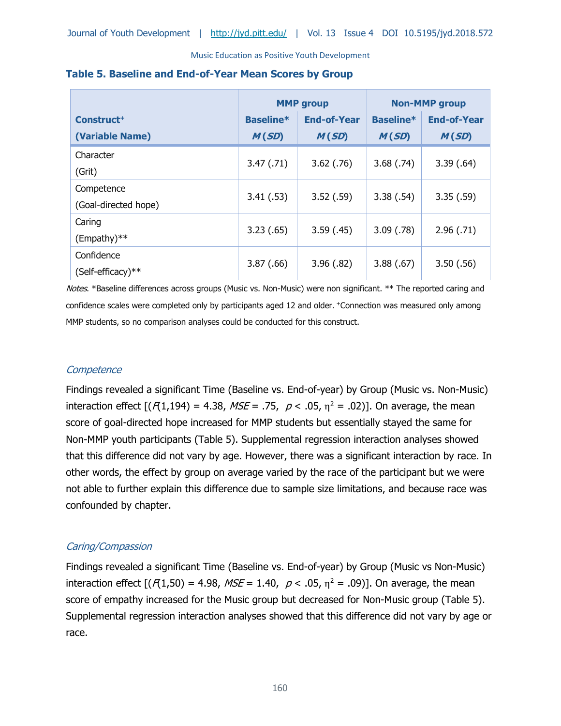|                        | <b>MMP</b> group |                    | <b>Non-MMP</b> group |                    |
|------------------------|------------------|--------------------|----------------------|--------------------|
| Construct <sup>+</sup> | <b>Baseline*</b> | <b>End-of-Year</b> | <b>Baseline*</b>     | <b>End-of-Year</b> |
| (Variable Name)        | M(SD)            | M(SD)              | M(SD)                | M(SD)              |
| Character              |                  |                    |                      |                    |
| (Grit)                 | 3.47(0.71)       | $3.62$ (.76)       | 3.68(.74)            | 3.39(.64)          |
| Competence             | 3.41(.53)        | 3.52(.59)          | 3.38(.54)            | 3.35(.59)          |
| (Goal-directed hope)   |                  |                    |                      |                    |
| Caring                 | 3.23(.65)        | 3.59(0.45)         | 3.09(0.78)           | 2.96(.71)          |
| $(Empathy)**$          |                  |                    |                      |                    |
| Confidence             |                  |                    |                      |                    |
| (Self-efficacy)**      | 3.87(.66)        | 3.96(.82)          | 3.88(.67)            | 3.50(.56)          |

#### **Table 5. Baseline and End-of-Year Mean Scores by Group**

Notes. \*Baseline differences across groups (Music vs. Non-Music) were non significant. \*\* The reported caring and confidence scales were completed only by participants aged 12 and older. +Connection was measured only among MMP students, so no comparison analyses could be conducted for this construct.

## **Competence**

Findings revealed a significant Time (Baseline vs. End-of-year) by Group (Music vs. Non-Music) interaction effect  $[(A1,194) = 4.38, MSE = .75, p < .05, \eta^2 = .02)]$ . On average, the mean score of goal-directed hope increased for MMP students but essentially stayed the same for Non-MMP youth participants (Table 5). Supplemental regression interaction analyses showed that this difference did not vary by age. However, there was a significant interaction by race. In other words, the effect by group on average varied by the race of the participant but we were not able to further explain this difference due to sample size limitations, and because race was confounded by chapter.

## Caring/Compassion

Findings revealed a significant Time (Baseline vs. End-of-year) by Group (Music vs Non-Music) interaction effect  $[(A1,50) = 4.98, MSE = 1.40, p < .05, \eta^2 = .09)]$ . On average, the mean score of empathy increased for the Music group but decreased for Non-Music group (Table 5). Supplemental regression interaction analyses showed that this difference did not vary by age or race.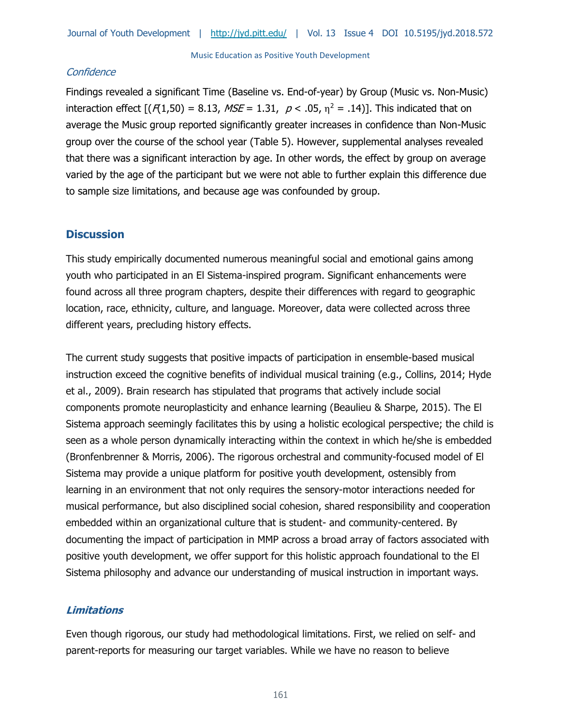## **Confidence**

Findings revealed a significant Time (Baseline vs. End-of-year) by Group (Music vs. Non-Music) interaction effect  $[(f(1,50) = 8.13, MSE = 1.31, p < .05, \eta^2 = .14)].$  This indicated that on average the Music group reported significantly greater increases in confidence than Non-Music group over the course of the school year (Table 5). However, supplemental analyses revealed that there was a significant interaction by age. In other words, the effect by group on average varied by the age of the participant but we were not able to further explain this difference due to sample size limitations, and because age was confounded by group.

# **Discussion**

This study empirically documented numerous meaningful social and emotional gains among youth who participated in an El Sistema-inspired program. Significant enhancements were found across all three program chapters, despite their differences with regard to geographic location, race, ethnicity, culture, and language. Moreover, data were collected across three different years, precluding history effects.

The current study suggests that positive impacts of participation in ensemble-based musical instruction exceed the cognitive benefits of individual musical training (e.g., Collins, 2014; Hyde et al., 2009). Brain research has stipulated that programs that actively include social components promote neuroplasticity and enhance learning (Beaulieu & Sharpe, 2015). The El Sistema approach seemingly facilitates this by using a holistic ecological perspective; the child is seen as a whole person dynamically interacting within the context in which he/she is embedded (Bronfenbrenner & Morris, 2006). The rigorous orchestral and community-focused model of El Sistema may provide a unique platform for positive youth development, ostensibly from learning in an environment that not only requires the sensory-motor interactions needed for musical performance, but also disciplined social cohesion, shared responsibility and cooperation embedded within an organizational culture that is student- and community-centered. By documenting the impact of participation in MMP across a broad array of factors associated with positive youth development, we offer support for this holistic approach foundational to the El Sistema philosophy and advance our understanding of musical instruction in important ways.

# **Limitations**

Even though rigorous, our study had methodological limitations. First, we relied on self- and parent-reports for measuring our target variables. While we have no reason to believe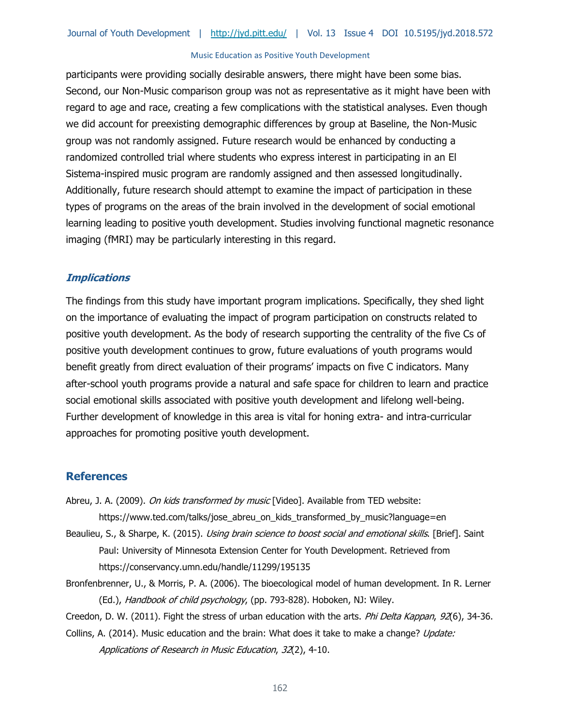participants were providing socially desirable answers, there might have been some bias. Second, our Non-Music comparison group was not as representative as it might have been with regard to age and race, creating a few complications with the statistical analyses. Even though we did account for preexisting demographic differences by group at Baseline, the Non-Music group was not randomly assigned. Future research would be enhanced by conducting a randomized controlled trial where students who express interest in participating in an El Sistema-inspired music program are randomly assigned and then assessed longitudinally. Additionally, future research should attempt to examine the impact of participation in these types of programs on the areas of the brain involved in the development of social emotional learning leading to positive youth development. Studies involving functional magnetic resonance imaging (fMRI) may be particularly interesting in this regard.

#### **Implications**

The findings from this study have important program implications. Specifically, they shed light on the importance of evaluating the impact of program participation on constructs related to positive youth development. As the body of research supporting the centrality of the five Cs of positive youth development continues to grow, future evaluations of youth programs would benefit greatly from direct evaluation of their programs' impacts on five C indicators. Many after-school youth programs provide a natural and safe space for children to learn and practice social emotional skills associated with positive youth development and lifelong well-being. Further development of knowledge in this area is vital for honing extra- and intra-curricular approaches for promoting positive youth development.

## **References**

- Abreu, J. A. (2009). On kids transformed by music [Video]. Available from TED website: https://www.ted.com/talks/jose\_abreu\_on\_kids\_transformed\_by\_music?language=en
- Beaulieu, S., & Sharpe, K. (2015). *Using brain science to boost social and emotional skills*. [Brief]. Saint Paul: University of Minnesota Extension Center for Youth Development. Retrieved from https://conservancy.umn.edu/handle/11299/195135
- Bronfenbrenner, U., & Morris, P. A. (2006). The bioecological model of human development. In R. Lerner (Ed.), Handbook of child psychology, (pp. 793-828). Hoboken, NJ: Wiley.

Creedon, D. W. (2011). Fight the stress of urban education with the arts. Phi Delta Kappan, 92(6), 34-36.

Collins, A. (2014). Music education and the brain: What does it take to make a change? Update: Applications of Research in Music Education, 32(2), 4-10.